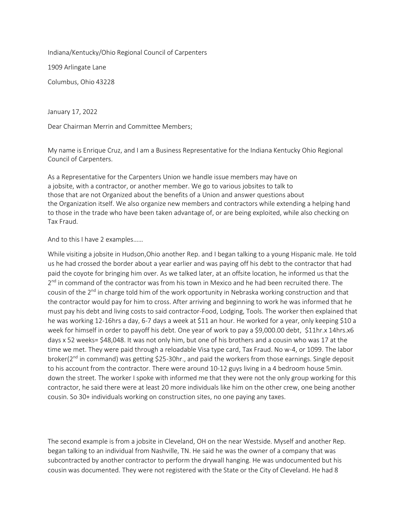Indiana/Kentucky/Ohio Regional Council of Carpenters

1909 Arlingate Lane

Columbus, Ohio 43228

January 17, 2022

Dear Chairman Merrin and Committee Members;

My name is Enrique Cruz, and I am a Business Representative for the Indiana Kentucky Ohio Regional Council of Carpenters.

As a Representative for the Carpenters Union we handle issue members may have on a jobsite, with a contractor, or another member. We go to various jobsites to talk to those that are not Organized about the benefits of a Union and answer questions about the Organization itself. We also organize new members and contractors while extending a helping hand to those in the trade who have been taken advantage of, or are being exploited, while also checking on Tax Fraud.

And to this I have 2 examples……

While visiting a jobsite in Hudson,Ohio another Rep. and I began talking to a young Hispanic male. He told us he had crossed the border about a year earlier and was paying off his debt to the contractor that had paid the coyote for bringing him over. As we talked later, at an offsite location, he informed us that the 2<sup>nd</sup> in command of the contractor was from his town in Mexico and he had been recruited there. The cousin of the 2<sup>nd</sup> in charge told him of the work opportunity in Nebraska working construction and that the contractor would pay for him to cross. After arriving and beginning to work he was informed that he must pay his debt and living costs to said contractor-Food, Lodging, Tools. The worker then explained that he was working 12-16hrs a day, 6-7 days a week at \$11 an hour. He worked for a year, only keeping \$10 a week for himself in order to payoff his debt. One year of work to pay a \$9,000.00 debt, \$11hr.x 14hrs.x6 days x 52 weeks= \$48,048. It was not only him, but one of his brothers and a cousin who was 17 at the time we met. They were paid through a reloadable Visa type card, Tax Fraud. No w-4, or 1099. The labor broker( $2<sup>nd</sup>$  in command) was getting \$25-30hr., and paid the workers from those earnings. Single deposit to his account from the contractor. There were around 10-12 guys living in a 4 bedroom house 5min. down the street. The worker I spoke with informed me that they were not the only group working for this contractor, he said there were at least 20 more individuals like him on the other crew, one being another cousin. So 30+ individuals working on construction sites, no one paying any taxes.

The second example is from a jobsite in Cleveland, OH on the near Westside. Myself and another Rep. began talking to an individual from Nashville, TN. He said he was the owner of a company that was subcontracted by another contractor to perform the drywall hanging. He was undocumented but his cousin was documented. They were not registered with the State or the City of Cleveland. He had 8